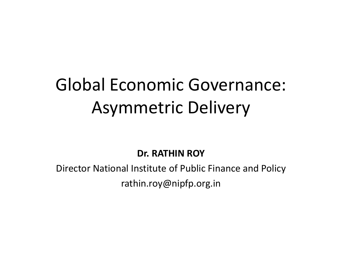### Global Economic Governance: Asymmetric Delivery

**Dr. RATHIN ROY**

Director National Institute of Public Finance and Policy rathin.roy@nipfp.org.in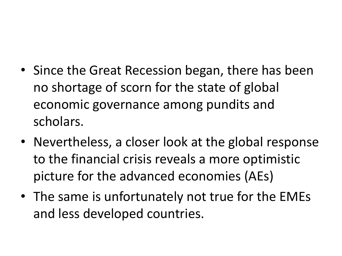- Since the Great Recession began, there has been no shortage of scorn for the state of global economic governance among pundits and scholars.
- Nevertheless, a closer look at the global response to the financial crisis reveals a more optimistic picture for the advanced economies (AEs)
- The same is unfortunately not true for the EMEs and less developed countries.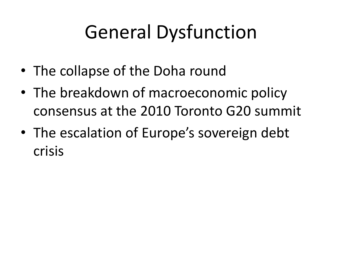# General Dysfunction

- The collapse of the Doha round
- The breakdown of macroeconomic policy consensus at the 2010 Toronto G20 summit
- The escalation of Europe's sovereign debt crisis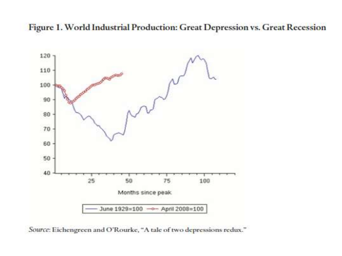#### Figure 1. World Industrial Production: Great Depression vs. Great Recession



Source: Eichengreen and O'Rourke, "A tale of two depressions redux."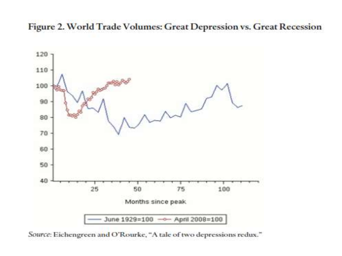#### Figure 2. World Trade Volumes: Great Depression vs. Great Recession



Source: Eichengreen and O'Rourke, "A tale of two depressions redux."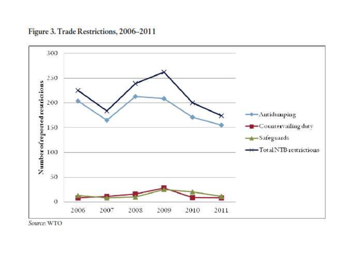

#### Figure 3. Trade Restrictions, 2006-2011

Source: WTO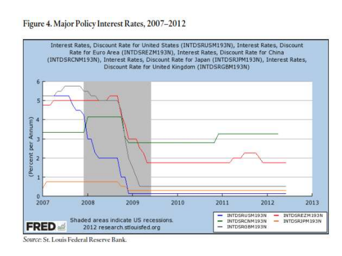### Figure 4. Major Policy Interest Rates, 2007-2012



Source: St. Louis Federal Reserve Rank.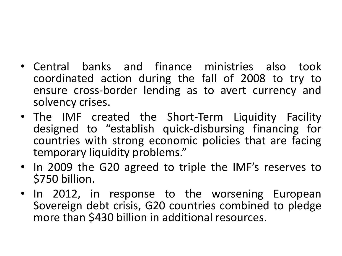- Central banks and finance ministries also took coordinated action during the fall of 2008 to try to ensure cross-border lending as to avert currency and solvency crises.
- The IMF created the Short-Term Liquidity Facility designed to "establish quick-disbursing financing for countries with strong economic policies that are facing temporary liquidity problems."
- In 2009 the G20 agreed to triple the IMF's reserves to \$750 billion.
- In 2012, in response to the worsening European Sovereign debt crisis, G20 countries combined to pledge more than \$430 billion in additional resources.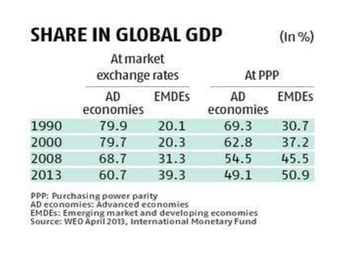|      | <b>SHARE IN GLOBAL GDP</b>  |              |                 | (ln %)       |
|------|-----------------------------|--------------|-----------------|--------------|
|      | At market<br>exchange rates |              | At PPP          |              |
|      | AD<br>economies             | <b>EMDEs</b> | AD<br>economies | <b>EMDEs</b> |
| 1990 | 79.9                        | 20.1         | 69.3            | 30.7         |
| 2000 | 79.7                        | 20.3         | 62.8            | 37.2         |
| 2008 | 68.7                        | 31.3         | 54.5            | 45.5         |
| 2013 | 60.7                        | 39.3         | 49.1            | 50.9         |

PPP: Purchasing power parity<br>AD economies: Advanced economies **EMDEs: Emerging market and developing economies** Source: WEO April 2013, International Monetary Fund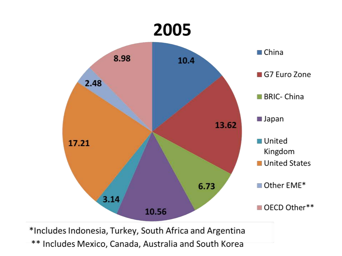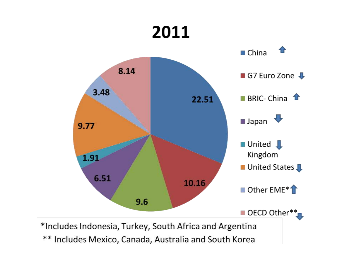